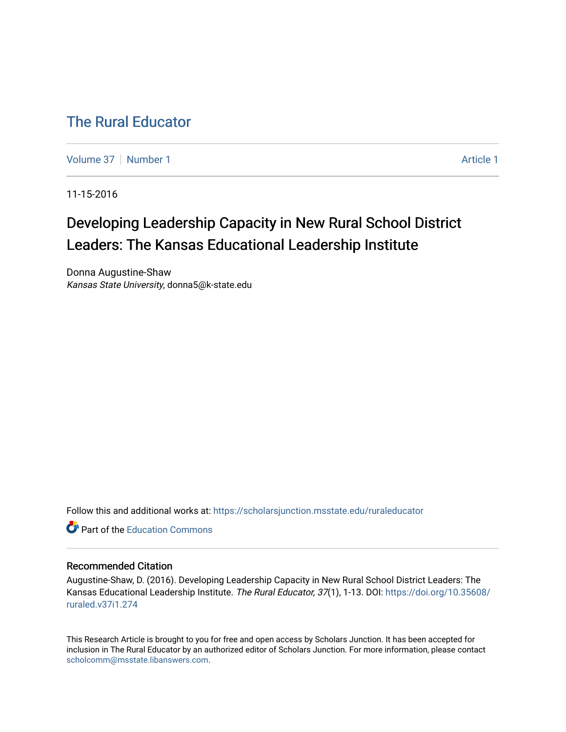# [The Rural Educator](https://scholarsjunction.msstate.edu/ruraleducator)

[Volume 37](https://scholarsjunction.msstate.edu/ruraleducator/vol37) [Number 1](https://scholarsjunction.msstate.edu/ruraleducator/vol37/iss1) Article 1

11-15-2016

# Developing Leadership Capacity in New Rural School District Leaders: The Kansas Educational Leadership Institute

Donna Augustine-Shaw Kansas State University, donna5@k-state.edu

Follow this and additional works at: [https://scholarsjunction.msstate.edu/ruraleducator](https://scholarsjunction.msstate.edu/ruraleducator?utm_source=scholarsjunction.msstate.edu%2Fruraleducator%2Fvol37%2Fiss1%2F1&utm_medium=PDF&utm_campaign=PDFCoverPages)

**C** Part of the [Education Commons](http://network.bepress.com/hgg/discipline/784?utm_source=scholarsjunction.msstate.edu%2Fruraleducator%2Fvol37%2Fiss1%2F1&utm_medium=PDF&utm_campaign=PDFCoverPages)

# Recommended Citation

Augustine-Shaw, D. (2016). Developing Leadership Capacity in New Rural School District Leaders: The Kansas Educational Leadership Institute. The Rural Educator, 37(1), 1-13. DOI: [https://doi.org/10.35608/](https://doi.org/10.35608/ruraled.v37i1.274) [ruraled.v37i1.274](https://doi.org/10.35608/ruraled.v37i1.274)

This Research Article is brought to you for free and open access by Scholars Junction. It has been accepted for inclusion in The Rural Educator by an authorized editor of Scholars Junction. For more information, please contact [scholcomm@msstate.libanswers.com.](mailto:scholcomm@msstate.libanswers.com)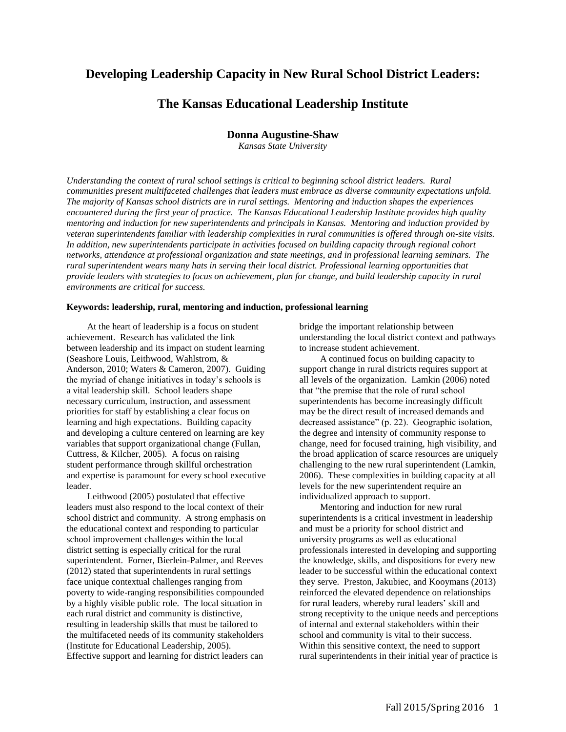# **Developing Leadership Capacity in New Rural School District Leaders:**

# **The Kansas Educational Leadership Institute**

**Donna Augustine-Shaw** 

*Kansas State University* 

*Understanding the context of rural school settings is critical to beginning school district leaders. Rural communities present multifaceted challenges that leaders must embrace as diverse community expectations unfold. The majority of Kansas school districts are in rural settings. Mentoring and induction shapes the experiences encountered during the first year of practice. The Kansas Educational Leadership Institute provides high quality mentoring and induction for new superintendents and principals in Kansas. Mentoring and induction provided by veteran superintendents familiar with leadership complexities in rural communities is offered through on-site visits. In addition, new superintendents participate in activities focused on building capacity through regional cohort networks, attendance at professional organization and state meetings, and in professional learning seminars. The rural superintendent wears many hats in serving their local district. Professional learning opportunities that provide leaders with strategies to focus on achievement, plan for change, and build leadership capacity in rural environments are critical for success.*

#### **Keywords: leadership, rural, mentoring and induction, professional learning**

At the heart of leadership is a focus on student achievement. Research has validated the link between leadership and its impact on student learning (Seashore Louis, Leithwood, Wahlstrom, & Anderson, 2010; Waters & Cameron, 2007). Guiding the myriad of change initiatives in today's schools is a vital leadership skill. School leaders shape necessary curriculum, instruction, and assessment priorities for staff by establishing a clear focus on learning and high expectations. Building capacity and developing a culture centered on learning are key variables that support organizational change (Fullan, Cuttress, & Kilcher, 2005). A focus on raising student performance through skillful orchestration and expertise is paramount for every school executive leader.

Leithwood (2005) postulated that effective leaders must also respond to the local context of their school district and community. A strong emphasis on the educational context and responding to particular school improvement challenges within the local district setting is especially critical for the rural superintendent. Forner, Bierlein-Palmer, and Reeves (2012) stated that superintendents in rural settings face unique contextual challenges ranging from poverty to wide-ranging responsibilities compounded by a highly visible public role. The local situation in each rural district and community is distinctive, resulting in leadership skills that must be tailored to the multifaceted needs of its community stakeholders (Institute for Educational Leadership, 2005). Effective support and learning for district leaders can

bridge the important relationship between understanding the local district context and pathways to increase student achievement.

A continued focus on building capacity to support change in rural districts requires support at all levels of the organization. Lamkin (2006) noted that "the premise that the role of rural school superintendents has become increasingly difficult may be the direct result of increased demands and decreased assistance" (p. 22). Geographic isolation, the degree and intensity of community response to change, need for focused training, high visibility, and the broad application of scarce resources are uniquely challenging to the new rural superintendent (Lamkin, 2006). These complexities in building capacity at all levels for the new superintendent require an individualized approach to support.

Mentoring and induction for new rural superintendents is a critical investment in leadership and must be a priority for school district and university programs as well as educational professionals interested in developing and supporting the knowledge, skills, and dispositions for every new leader to be successful within the educational context they serve. Preston, Jakubiec, and Kooymans (2013) reinforced the elevated dependence on relationships for rural leaders, whereby rural leaders' skill and strong receptivity to the unique needs and perceptions of internal and external stakeholders within their school and community is vital to their success. Within this sensitive context, the need to support rural superintendents in their initial year of practice is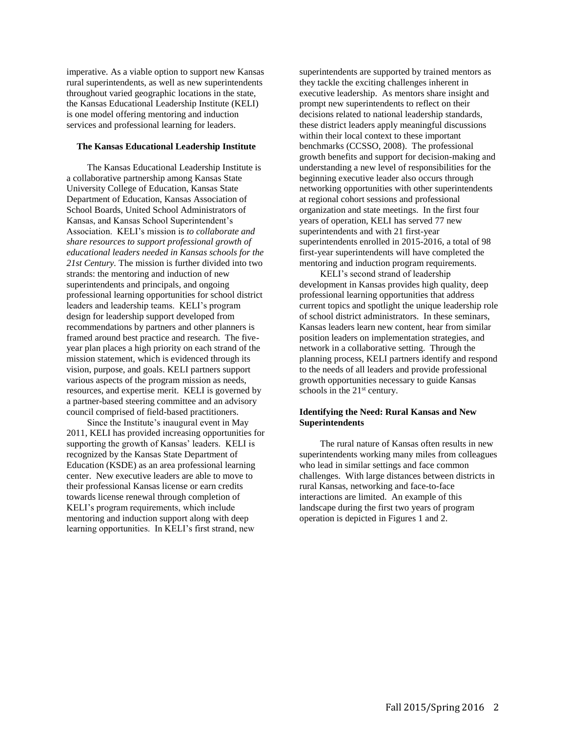imperative. As a viable option to support new Kansas rural superintendents, as well as new superintendents throughout varied geographic locations in the state, the Kansas Educational Leadership Institute (KELI) is one model offering mentoring and induction services and professional learning for leaders.

#### **The Kansas Educational Leadership Institute**

The Kansas Educational Leadership Institute is a collaborative partnership among Kansas State University College of Education, Kansas State Department of Education, Kansas Association of School Boards, United School Administrators of Kansas, and Kansas School Superintendent's Association. KELI's mission is *to collaborate and share resources to support professional growth of educational leaders needed in Kansas schools for the 21st Century.* The mission is further divided into two strands: the mentoring and induction of new superintendents and principals, and ongoing professional learning opportunities for school district leaders and leadership teams. KELI's program design for leadership support developed from recommendations by partners and other planners is framed around best practice and research. The fiveyear plan places a high priority on each strand of the mission statement, which is evidenced through its vision, purpose, and goals. KELI partners support various aspects of the program mission as needs, resources, and expertise merit. KELI is governed by a partner-based steering committee and an advisory council comprised of field-based practitioners.

Since the Institute's inaugural event in May 2011, KELI has provided increasing opportunities for supporting the growth of Kansas' leaders. KELI is recognized by the Kansas State Department of Education (KSDE) as an area professional learning center.New executive leaders are able to move to their professional Kansas license or earn credits towards license renewal through completion of KELI's program requirements, which include mentoring and induction support along with deep learning opportunities. In KELI's first strand, new

superintendents are supported by trained mentors as they tackle the exciting challenges inherent in executive leadership. As mentors share insight and prompt new superintendents to reflect on their decisions related to national leadership standards, these district leaders apply meaningful discussions within their local context to these important benchmarks (CCSSO, 2008). The professional growth benefits and support for decision-making and understanding a new level of responsibilities for the beginning executive leader also occurs through networking opportunities with other superintendents at regional cohort sessions and professional organization and state meetings. In the first four years of operation, KELI has served 77 new superintendents and with 21 first-year superintendents enrolled in 2015-2016, a total of 98 first-year superintendents will have completed the mentoring and induction program requirements.

KELI's second strand of leadership development in Kansas provides high quality, deep professional learning opportunities that address current topics and spotlight the unique leadership role of school district administrators. In these seminars, Kansas leaders learn new content, hear from similar position leaders on implementation strategies, and network in a collaborative setting. Through the planning process, KELI partners identify and respond to the needs of all leaders and provide professional growth opportunities necessary to guide Kansas schools in the 21<sup>st</sup> century.

## **Identifying the Need: Rural Kansas and New Superintendents**

The rural nature of Kansas often results in new superintendents working many miles from colleagues who lead in similar settings and face common challenges. With large distances between districts in rural Kansas, networking and face-to-face interactions are limited. An example of this landscape during the first two years of program operation is depicted in Figures 1 and 2.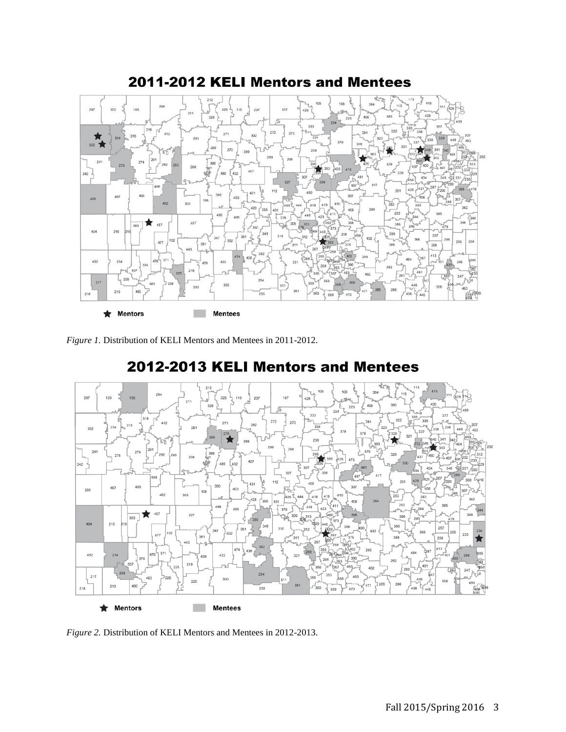

2011-2012 KELI Mentors and Mentees

*Figure 1.* Distribution of KELI Mentors and Mentees in 2011-2012.



# 2012-2013 KELI Mentors and Mentees

*Figure 2.* Distribution of KELI Mentors and Mentees in 2012-2013.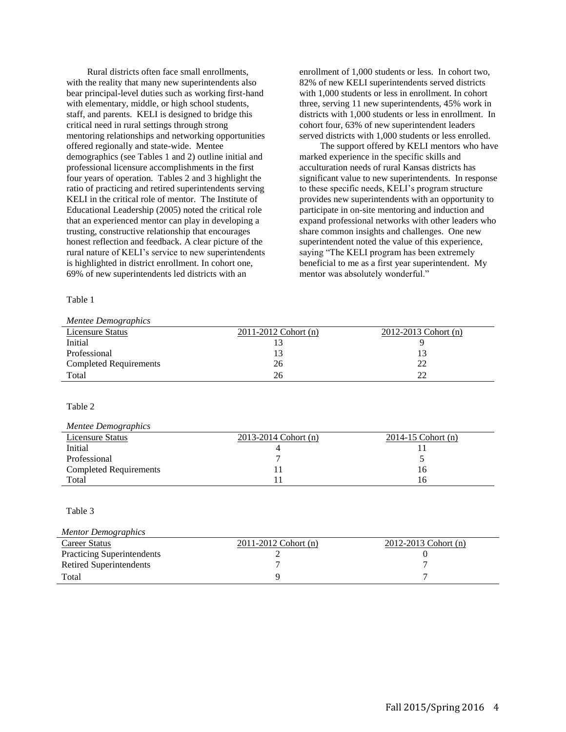Rural districts often face small enrollments, with the reality that many new superintendents also bear principal-level duties such as working first-hand with elementary, middle, or high school students, staff, and parents. KELI is designed to bridge this critical need in rural settings through strong mentoring relationships and networking opportunities offered regionally and state-wide. Mentee demographics (see Tables 1 and 2) outline initial and professional licensure accomplishments in the first four years of operation. Tables 2 and 3 highlight the ratio of practicing and retired superintendents serving KELI in the critical role of mentor. The Institute of Educational Leadership (2005) noted the critical role that an experienced mentor can play in developing a trusting, constructive relationship that encourages honest reflection and feedback. A clear picture of the rural nature of KELI's service to new superintendents is highlighted in district enrollment. In cohort one, 69% of new superintendents led districts with an

# enrollment of 1,000 students or less. In cohort two, 82% of new KELI superintendents served districts with 1,000 students or less in enrollment. In cohort three, serving 11 new superintendents, 45% work in districts with 1,000 students or less in enrollment. In cohort four, 63% of new superintendent leaders served districts with 1,000 students or less enrolled.

The support offered by KELI mentors who have marked experience in the specific skills and acculturation needs of rural Kansas districts has significant value to new superintendents. In response to these specific needs, KELI's program structure provides new superintendents with an opportunity to participate in on-site mentoring and induction and expand professional networks with other leaders who share common insights and challenges. One new superintendent noted the value of this experience, saying "The KELI program has been extremely beneficial to me as a first year superintendent. My mentor was absolutely wonderful."

#### Table 1

*Mentee Demographics*

| <i>Meniee Demographics</i>    |                      |                          |
|-------------------------------|----------------------|--------------------------|
| Licensure Status              | 2011-2012 Cohort (n) | $2012 - 2013$ Cohort (n) |
| Initial                       |                      |                          |
| Professional                  |                      |                          |
| <b>Completed Requirements</b> | 26                   | 22                       |
| Total                         | 26                   | າາ                       |

#### Table 2

| Mentee Demographics           |                      |                        |
|-------------------------------|----------------------|------------------------|
| Licensure Status              | 2013-2014 Cohort (n) | $2014 - 15$ Cohort (n) |
| Initial                       |                      |                        |
| Professional                  |                      |                        |
| <b>Completed Requirements</b> |                      | 16                     |
| Total                         |                      | 16                     |

### Table 3

| <b>Mentor Demographics</b>        |                          |                        |
|-----------------------------------|--------------------------|------------------------|
| Career Status                     | $2011 - 2012$ Cohort (n) | 2012-2013 Cohort $(n)$ |
| <b>Practicing Superintendents</b> |                          |                        |
| Retired Superintendents           |                          |                        |
| Total                             |                          |                        |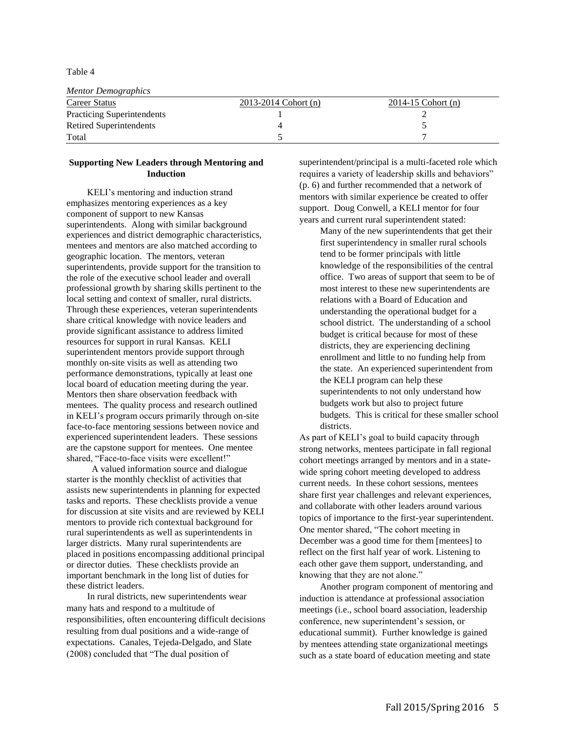Table 4

*Mentor Demographics*

| Career Status                     | 2013-2014 Cohort (n) | $2014 - 15$ Cohort (n) |
|-----------------------------------|----------------------|------------------------|
| <b>Practicing Superintendents</b> |                      |                        |
| Retired Superintendents           |                      |                        |
| Total                             |                      |                        |

# **Supporting New Leaders through Mentoring and Induction**

KELI's mentoring and induction strand emphasizes mentoring experiences as a key component of support to new Kansas superintendents. Along with similar background experiences and district demographic characteristics, mentees and mentors are also matched according to geographic location. The mentors, veteran superintendents, provide support for the transition to the role of the executive school leader and overall professional growth by sharing skills pertinent to the local setting and context of smaller, rural districts. Through these experiences, veteran superintendents share critical knowledge with novice leaders and provide significant assistance to address limited resources for support in rural Kansas. KELI superintendent mentors provide support through monthly on-site visits as well as attending two performance demonstrations, typically at least one local board of education meeting during the year. Mentors then share observation feedback with mentees. The quality process and research outlined in KELI's program occurs primarily through on-site face-to-face mentoring sessions between novice and experienced superintendent leaders. These sessions are the capstone support for mentees. One mentee shared, "Face-to-face visits were excellent!"

 A valued information source and dialogue starter is the monthly checklist of activities that assists new superintendents in planning for expected tasks and reports. These checklists provide a venue for discussion at site visits and are reviewed by KELI mentors to provide rich contextual background for rural superintendents as well as superintendents in larger districts. Many rural superintendents are placed in positions encompassing additional principal or director duties. These checklists provide an important benchmark in the long list of duties for these district leaders.

In rural districts, new superintendents wear many hats and respond to a multitude of responsibilities, often encountering difficult decisions resulting from dual positions and a wide-range of expectations. Canales, Tejeda-Delgado, and Slate (2008) concluded that "The dual position of

superintendent/principal is a multi-faceted role which requires a variety of leadership skills and behaviors" (p. 6) and further recommended that a network of mentors with similar experience be created to offer support. Doug Conwell, a KELI mentor for four years and current rural superintendent stated:

Many of the new superintendents that get their first superintendency in smaller rural schools tend to be former principals with little knowledge of the responsibilities of the central office. Two areas of support that seem to be of most interest to these new superintendents are relations with a Board of Education and understanding the operational budget for a school district. The understanding of a school budget is critical because for most of these districts, they are experiencing declining enrollment and little to no funding help from the state. An experienced superintendent from the KELI program can help these superintendents to not only understand how budgets work but also to project future budgets. This is critical for these smaller school districts.

As part of KELI's goal to build capacity through strong networks, mentees participate in fall regional cohort meetings arranged by mentors and in a statewide spring cohort meeting developed to address current needs. In these cohort sessions, mentees share first year challenges and relevant experiences, and collaborate with other leaders around various topics of importance to the first-year superintendent. One mentor shared, "The cohort meeting in December was a good time for them [mentees] to reflect on the first half year of work. Listening to each other gave them support, understanding, and knowing that they are not alone."

Another program component of mentoring and induction is attendance at professional association meetings (i.e., school board association, leadership conference, new superintendent's session, or educational summit). Further knowledge is gained by mentees attending state organizational meetings such as a state board of education meeting and state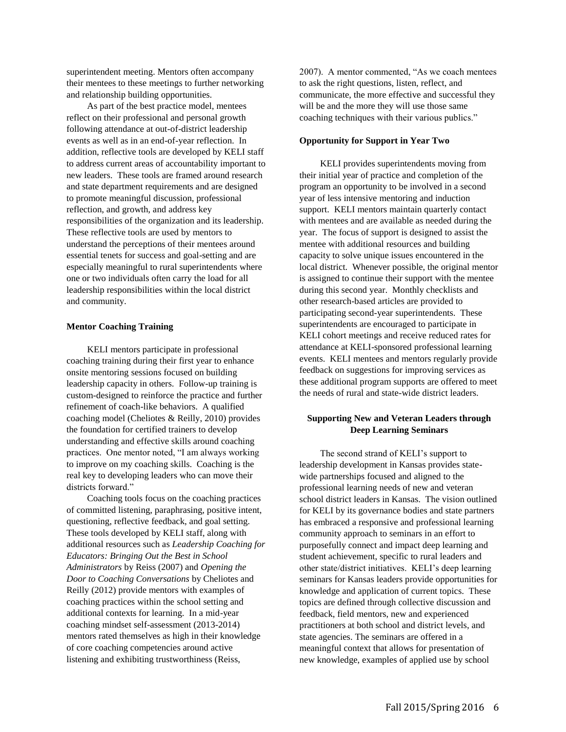superintendent meeting. Mentors often accompany their mentees to these meetings to further networking and relationship building opportunities.

As part of the best practice model, mentees reflect on their professional and personal growth following attendance at out-of-district leadership events as well as in an end-of-year reflection. In addition, reflective tools are developed by KELI staff to address current areas of accountability important to new leaders. These tools are framed around research and state department requirements and are designed to promote meaningful discussion, professional reflection, and growth, and address key responsibilities of the organization and its leadership. These reflective tools are used by mentors to understand the perceptions of their mentees around essential tenets for success and goal-setting and are especially meaningful to rural superintendents where one or two individuals often carry the load for all leadership responsibilities within the local district and community.

#### **Mentor Coaching Training**

KELI mentors participate in professional coaching training during their first year to enhance onsite mentoring sessions focused on building leadership capacity in others. Follow-up training is custom-designed to reinforce the practice and further refinement of coach-like behaviors. A qualified coaching model (Cheliotes & Reilly, 2010) provides the foundation for certified trainers to develop understanding and effective skills around coaching practices. One mentor noted, "I am always working to improve on my coaching skills. Coaching is the real key to developing leaders who can move their districts forward."

Coaching tools focus on the coaching practices of committed listening, paraphrasing, positive intent, questioning, reflective feedback, and goal setting. These tools developed by KELI staff, along with additional resources such as *Leadership Coaching for Educators: Bringing Out the Best in School Administrators* by Reiss (2007) and *Opening the Door to Coaching Conversations* by Cheliotes and Reilly (2012) provide mentors with examples of coaching practices within the school setting and additional contexts for learning. In a mid-year coaching mindset self-assessment (2013-2014) mentors rated themselves as high in their knowledge of core coaching competencies around active listening and exhibiting trustworthiness (Reiss,

2007). A mentor commented, "As we coach mentees to ask the right questions, listen, reflect, and communicate, the more effective and successful they will be and the more they will use those same coaching techniques with their various publics."

#### **Opportunity for Support in Year Two**

KELI provides superintendents moving from their initial year of practice and completion of the program an opportunity to be involved in a second year of less intensive mentoring and induction support. KELI mentors maintain quarterly contact with mentees and are available as needed during the year. The focus of support is designed to assist the mentee with additional resources and building capacity to solve unique issues encountered in the local district. Whenever possible, the original mentor is assigned to continue their support with the mentee during this second year. Monthly checklists and other research-based articles are provided to participating second-year superintendents. These superintendents are encouraged to participate in KELI cohort meetings and receive reduced rates for attendance at KELI-sponsored professional learning events. KELI mentees and mentors regularly provide feedback on suggestions for improving services as these additional program supports are offered to meet the needs of rural and state-wide district leaders.

# **Supporting New and Veteran Leaders through Deep Learning Seminars**

The second strand of KELI's support to leadership development in Kansas provides statewide partnerships focused and aligned to the professional learning needs of new and veteran school district leaders in Kansas. The vision outlined for KELI by its governance bodies and state partners has embraced a responsive and professional learning community approach to seminars in an effort to purposefully connect and impact deep learning and student achievement, specific to rural leaders and other state/district initiatives. KELI's deep learning seminars for Kansas leaders provide opportunities for knowledge and application of current topics. These topics are defined through collective discussion and feedback, field mentors, new and experienced practitioners at both school and district levels, and state agencies. The seminars are offered in a meaningful context that allows for presentation of new knowledge, examples of applied use by school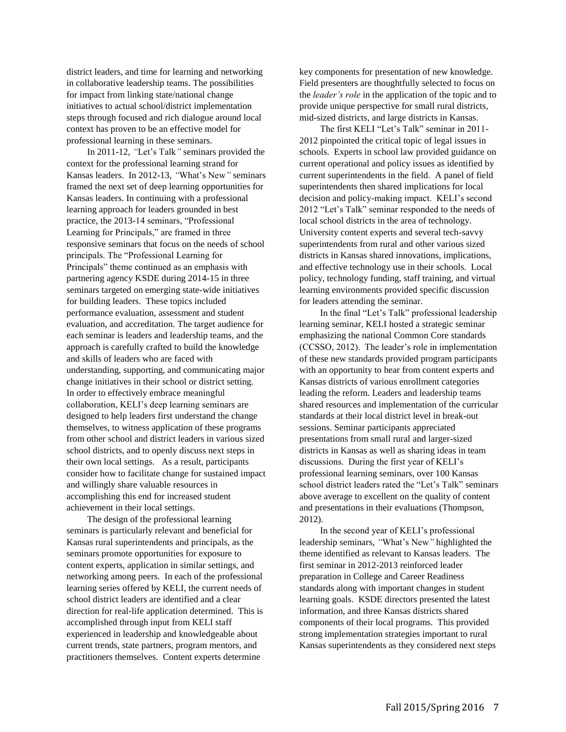district leaders, and time for learning and networking in collaborative leadership teams. The possibilities for impact from linking state/national change initiatives to actual school/district implementation steps through focused and rich dialogue around local context has proven to be an effective model for professional learning in these seminars.

In 2011-12, *"*Let's Talk*"* seminars provided the context for the professional learning strand for Kansas leaders. In 2012-13, *"*What's New*"* seminars framed the next set of deep learning opportunities for Kansas leaders. In continuing with a professional learning approach for leaders grounded in best practice, the 2013-14 seminars, "Professional Learning for Principals," are framed in three responsive seminars that focus on the needs of school principals. The "Professional Learning for Principals" theme continued as an emphasis with partnering agency KSDE during 2014-15 in three seminars targeted on emerging state-wide initiatives for building leaders. These topics included performance evaluation, assessment and student evaluation, and accreditation. The target audience for each seminar is leaders and leadership teams, and the approach is carefully crafted to build the knowledge and skills of leaders who are faced with understanding, supporting, and communicating major change initiatives in their school or district setting. In order to effectively embrace meaningful collaboration, KELI's deep learning seminars are designed to help leaders first understand the change themselves, to witness application of these programs from other school and district leaders in various sized school districts, and to openly discuss next steps in their own local settings. As a result, participants consider how to facilitate change for sustained impact and willingly share valuable resources in accomplishing this end for increased student achievement in their local settings.

The design of the professional learning seminars is particularly relevant and beneficial for Kansas rural superintendents and principals, as the seminars promote opportunities for exposure to content experts, application in similar settings, and networking among peers. In each of the professional learning series offered by KELI, the current needs of school district leaders are identified and a clear direction for real-life application determined. This is accomplished through input from KELI staff experienced in leadership and knowledgeable about current trends, state partners, program mentors, and practitioners themselves. Content experts determine

key components for presentation of new knowledge. Field presenters are thoughtfully selected to focus on the *leader's role* in the application of the topic and to provide unique perspective for small rural districts, mid-sized districts, and large districts in Kansas.

The first KELI "Let's Talk" seminar in 2011- 2012 pinpointed the critical topic of legal issues in schools. Experts in school law provided guidance on current operational and policy issues as identified by current superintendents in the field. A panel of field superintendents then shared implications for local decision and policy-making impact. KELI's second 2012 "Let's Talk" seminar responded to the needs of local school districts in the area of technology. University content experts and several tech-savvy superintendents from rural and other various sized districts in Kansas shared innovations, implications, and effective technology use in their schools. Local policy, technology funding, staff training, and virtual learning environments provided specific discussion for leaders attending the seminar.

In the final "Let's Talk" professional leadership learning seminar, KELI hosted a strategic seminar emphasizing the national Common Core standards (CCSSO, 2012). The leader's role in implementation of these new standards provided program participants with an opportunity to hear from content experts and Kansas districts of various enrollment categories leading the reform. Leaders and leadership teams shared resources and implementation of the curricular standards at their local district level in break-out sessions. Seminar participants appreciated presentations from small rural and larger-sized districts in Kansas as well as sharing ideas in team discussions. During the first year of KELI's professional learning seminars, over 100 Kansas school district leaders rated the "Let's Talk" seminars above average to excellent on the quality of content and presentations in their evaluations (Thompson, 2012).

In the second year of KELI's professional leadership seminars, *"*What's New*"* highlighted the theme identified as relevant to Kansas leaders. The first seminar in 2012-2013 reinforced leader preparation in College and Career Readiness standards along with important changes in student learning goals. KSDE directors presented the latest information, and three Kansas districts shared components of their local programs. This provided strong implementation strategies important to rural Kansas superintendents as they considered next steps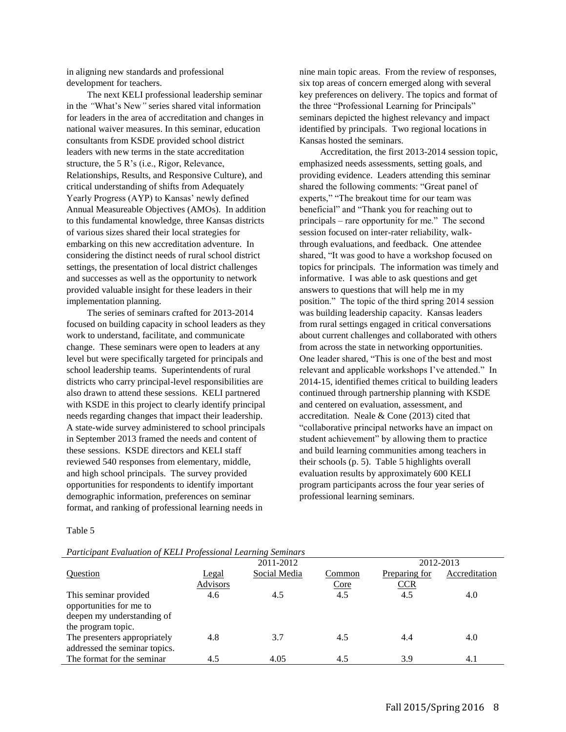in aligning new standards and professional development for teachers.

The next KELI professional leadership seminar in the *"*What's New*"* series shared vital information for leaders in the area of accreditation and changes in national waiver measures. In this seminar, education consultants from KSDE provided school district leaders with new terms in the state accreditation structure, the 5 R's (i.e., Rigor, Relevance, Relationships, Results, and Responsive Culture), and critical understanding of shifts from Adequately Yearly Progress (AYP) to Kansas' newly defined Annual Measureable Objectives (AMOs). In addition to this fundamental knowledge, three Kansas districts of various sizes shared their local strategies for embarking on this new accreditation adventure. In considering the distinct needs of rural school district settings, the presentation of local district challenges and successes as well as the opportunity to network provided valuable insight for these leaders in their implementation planning.

The series of seminars crafted for 2013-2014 focused on building capacity in school leaders as they work to understand, facilitate, and communicate change. These seminars were open to leaders at any level but were specifically targeted for principals and school leadership teams. Superintendents of rural districts who carry principal-level responsibilities are also drawn to attend these sessions. KELI partnered with KSDE in this project to clearly identify principal needs regarding changes that impact their leadership. A state-wide survey administered to school principals in September 2013 framed the needs and content of these sessions. KSDE directors and KELI staff reviewed 540 responses from elementary, middle, and high school principals. The survey provided opportunities for respondents to identify important demographic information, preferences on seminar format, and ranking of professional learning needs in

Table 5

*Participant Evaluation of KELI Professional Learning Seminars*

nine main topic areas. From the review of responses, six top areas of concern emerged along with several key preferences on delivery. The topics and format of the three "Professional Learning for Principals" seminars depicted the highest relevancy and impact identified by principals. Two regional locations in Kansas hosted the seminars.

Accreditation, the first 2013-2014 session topic, emphasized needs assessments, setting goals, and providing evidence. Leaders attending this seminar shared the following comments: "Great panel of experts," "The breakout time for our team was beneficial" and "Thank you for reaching out to principals – rare opportunity for me." The second session focused on inter-rater reliability, walkthrough evaluations, and feedback. One attendee shared, "It was good to have a workshop focused on topics for principals. The information was timely and informative. I was able to ask questions and get answers to questions that will help me in my position." The topic of the third spring 2014 session was building leadership capacity. Kansas leaders from rural settings engaged in critical conversations about current challenges and collaborated with others from across the state in networking opportunities. One leader shared, "This is one of the best and most relevant and applicable workshops I've attended." In 2014-15, identified themes critical to building leaders continued through partnership planning with KSDE and centered on evaluation, assessment, and accreditation. Neale & Cone (2013) cited that "collaborative principal networks have an impact on student achievement" by allowing them to practice and build learning communities among teachers in their schools (p. 5). Table 5 highlights overall evaluation results by approximately 600 KELI program participants across the four year series of professional learning seminars.

| т интерат Египитон орудент горезмовит цейтник бетипиту |          |              |             |               |               |  |  |  |
|--------------------------------------------------------|----------|--------------|-------------|---------------|---------------|--|--|--|
| 2011-2012<br>2012-2013                                 |          |              |             |               |               |  |  |  |
| <b>Ouestion</b>                                        | Legal    | Social Media | Common      | Preparing for | Accreditation |  |  |  |
|                                                        | Advisors |              | <u>Core</u> | CCR           |               |  |  |  |
| This seminar provided                                  | 4.6      | 4.5          | 4.5         | 4.5           | 4.0           |  |  |  |
| opportunities for me to                                |          |              |             |               |               |  |  |  |
| deepen my understanding of                             |          |              |             |               |               |  |  |  |
| the program topic.                                     |          |              |             |               |               |  |  |  |
| The presenters appropriately                           | 4.8      | 3.7          | 4.5         | 4.4           | 4.0           |  |  |  |
| addressed the seminar topics.                          |          |              |             |               |               |  |  |  |
| The format for the seminar                             | 4.5      | 4.05         | 4.5         | 3.9           | 4.1           |  |  |  |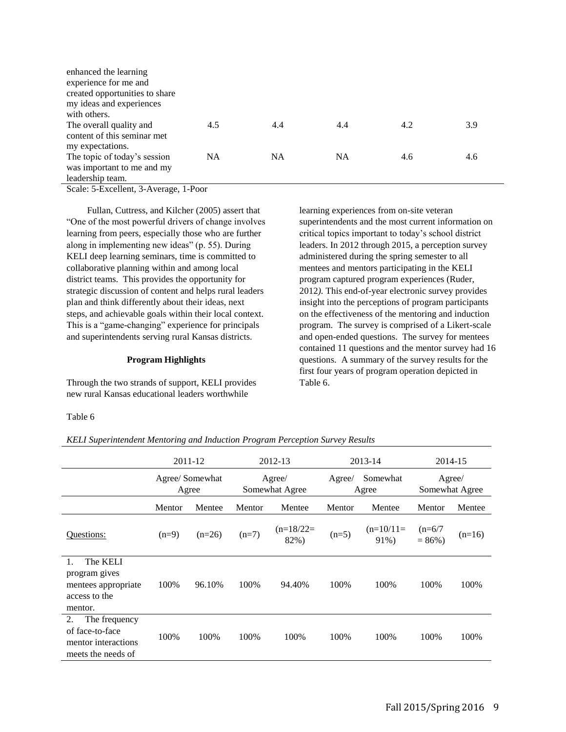| enhanced the learning          |           |           |     |     |     |
|--------------------------------|-----------|-----------|-----|-----|-----|
| experience for me and          |           |           |     |     |     |
| created opportunities to share |           |           |     |     |     |
| my ideas and experiences       |           |           |     |     |     |
| with others.                   |           |           |     |     |     |
| The overall quality and        | 4.5       | 4.4       | 4.4 | 4.2 | 3.9 |
| content of this seminar met    |           |           |     |     |     |
| my expectations.               |           |           |     |     |     |
| The topic of today's session   | <b>NA</b> | <b>NA</b> | NA  | 4.6 | 4.6 |
| was important to me and my     |           |           |     |     |     |
| leadership team.               |           |           |     |     |     |

Scale: 5-Excellent, 3-Average, 1-Poor

Fullan, Cuttress, and Kilcher (2005) assert that "One of the most powerful drivers of change involves learning from peers, especially those who are further along in implementing new ideas" (p. 55). During KELI deep learning seminars, time is committed to collaborative planning within and among local district teams. This provides the opportunity for strategic discussion of content and helps rural leaders plan and think differently about their ideas, next steps, and achievable goals within their local context. This is a "game-changing" experience for principals and superintendents serving rural Kansas districts.

#### **Program Highlights**

Through the two strands of support, KELI provides new rural Kansas educational leaders worthwhile

learning experiences from on-site veteran superintendents and the most current information on critical topics important to today's school district leaders. In 2012 through 2015, a perception survey administered during the spring semester to all mentees and mentors participating in the KELI program captured program experiences (Ruder, 2012*).* This end-of-year electronic survey provides insight into the perceptions of program participants on the effectiveness of the mentoring and induction program. The survey is comprised of a Likert-scale and open-ended questions. The survey for mentees contained 11 questions and the mentor survey had 16 questions. A summary of the survey results for the first four years of program operation depicted in Table 6.

## Table 6

*KELI Superintendent Mentoring and Induction Program Perception Survey Results* 

|                                                                                     |                | 2011-12  | 2012-13                  |                     | 2013-14                     |                     | 2014-15                  |          |
|-------------------------------------------------------------------------------------|----------------|----------|--------------------------|---------------------|-----------------------------|---------------------|--------------------------|----------|
|                                                                                     | Agree/Somewhat | Agree    | Agree/<br>Somewhat Agree |                     | Somewhat<br>Agree/<br>Agree |                     | Agree/<br>Somewhat Agree |          |
|                                                                                     | Mentor         | Mentee   | Mentor                   | Mentee              | Mentor                      | Mentee              | Mentor                   | Mentee   |
| Questions:                                                                          | $(n=9)$        | $(n=26)$ | $(n=7)$                  | $(n=18/22=$<br>82%) | $(n=5)$                     | $(n=10/11=$<br>91%) | $(n=6/7)$<br>$= 86\%$ )  | $(n=16)$ |
| The KELI<br>1.<br>program gives<br>mentees appropriate<br>access to the<br>mentor.  | 100\%          | 96.10%   | 100%                     | 94.40%              | 100%                        | 100\%               | 100%                     | 100%     |
| The frequency<br>2.<br>of face-to-face<br>mentor interactions<br>meets the needs of | 100%           | 100%     | 100%                     | 100%                | 100%                        | 100%                | 100%                     | 100%     |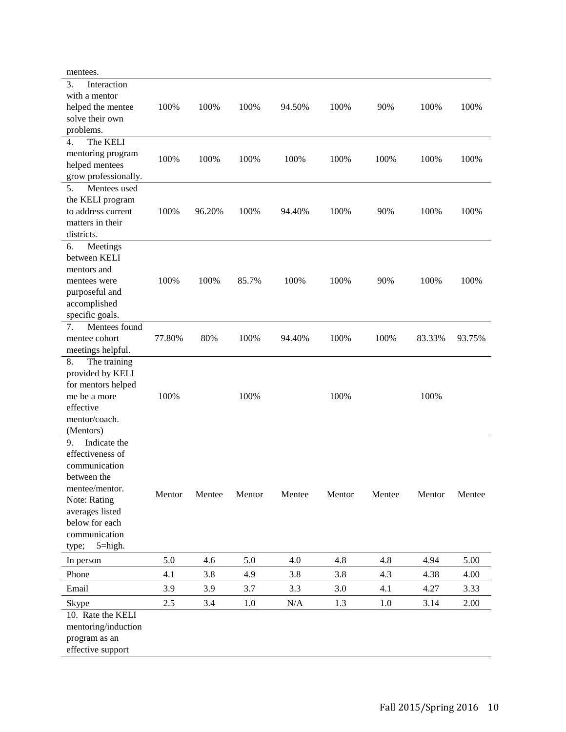| mentees.             |        |        |         |        |        |        |        |        |
|----------------------|--------|--------|---------|--------|--------|--------|--------|--------|
| Interaction<br>3.    |        |        |         |        |        |        |        |        |
| with a mentor        |        |        |         |        |        |        |        |        |
| helped the mentee    | 100%   | 100%   | 100%    | 94.50% | 100%   | 90%    | 100%   | 100%   |
| solve their own      |        |        |         |        |        |        |        |        |
| problems.            |        |        |         |        |        |        |        |        |
| The KELI<br>4.       |        |        |         |        |        |        |        |        |
| mentoring program    | 100%   | 100%   | 100%    | 100%   | 100%   | 100%   | 100%   | 100%   |
| helped mentees       |        |        |         |        |        |        |        |        |
| grow professionally. |        |        |         |        |        |        |        |        |
| 5.<br>Mentees used   |        |        |         |        |        |        |        |        |
| the KELI program     |        |        |         |        |        |        |        |        |
| to address current   | 100%   | 96.20% | 100%    | 94.40% | 100%   | 90%    | 100%   | 100%   |
| matters in their     |        |        |         |        |        |        |        |        |
| districts.           |        |        |         |        |        |        |        |        |
| 6.<br>Meetings       |        |        |         |        |        |        |        |        |
| between KELI         |        |        |         |        |        |        |        |        |
| mentors and          |        |        |         |        |        |        |        |        |
| mentees were         | 100%   | 100%   | 85.7%   | 100%   | 100%   | 90%    | 100%   | 100%   |
| purposeful and       |        |        |         |        |        |        |        |        |
| accomplished         |        |        |         |        |        |        |        |        |
| specific goals.      |        |        |         |        |        |        |        |        |
| Mentees found<br>7.  |        |        |         |        |        |        |        |        |
| mentee cohort        | 77.80% | 80%    | 100%    | 94.40% | 100%   | 100%   | 83.33% | 93.75% |
| meetings helpful.    |        |        |         |        |        |        |        |        |
| The training<br>8.   |        |        |         |        |        |        |        |        |
| provided by KELI     |        |        |         |        |        |        |        |        |
| for mentors helped   |        |        |         |        |        |        |        |        |
| me be a more         | 100%   |        | 100%    |        | 100%   |        | 100%   |        |
| effective            |        |        |         |        |        |        |        |        |
| mentor/coach.        |        |        |         |        |        |        |        |        |
| (Mentors)            |        |        |         |        |        |        |        |        |
| Indicate the<br>9.   |        |        |         |        |        |        |        |        |
| effectiveness of     |        |        |         |        |        |        |        |        |
| communication        |        |        |         |        |        |        |        |        |
| between the          |        |        |         |        |        |        |        |        |
| mentee/mentor.       | Mentor | Mentee | Mentor  | Mentee | Mentor | Mentee | Mentor | Mentee |
| Note: Rating         |        |        |         |        |        |        |        |        |
| averages listed      |        |        |         |        |        |        |        |        |
| below for each       |        |        |         |        |        |        |        |        |
| communication        |        |        |         |        |        |        |        |        |
| 5=high.<br>type;     |        |        |         |        |        |        |        |        |
| In person            | 5.0    | 4.6    | 5.0     | 4.0    | 4.8    | 4.8    | 4.94   | 5.00   |
| Phone                | 4.1    | 3.8    | 4.9     | 3.8    | 3.8    | 4.3    | 4.38   | 4.00   |
| Email                | 3.9    | 3.9    | 3.7     | 3.3    | 3.0    | 4.1    | 4.27   | 3.33   |
| Skype                | 2.5    | 3.4    | $1.0\,$ | N/A    | 1.3    | 1.0    | 3.14   | 2.00   |
| 10. Rate the KELI    |        |        |         |        |        |        |        |        |
| mentoring/induction  |        |        |         |        |        |        |        |        |
| program as an        |        |        |         |        |        |        |        |        |
| effective support    |        |        |         |        |        |        |        |        |
|                      |        |        |         |        |        |        |        |        |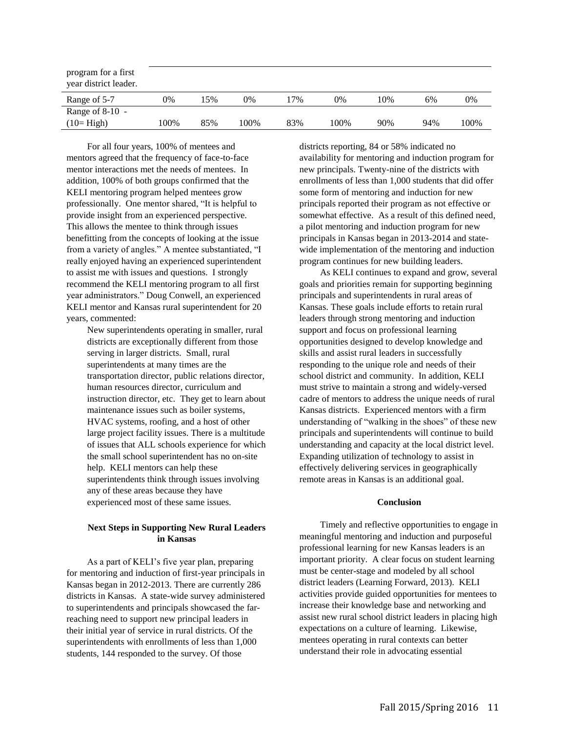| program for a first<br>year district leader. |      |     |      |     |      |     |     |      |
|----------------------------------------------|------|-----|------|-----|------|-----|-----|------|
| Range of 5-7                                 | 0%   | 5%  | 0%   | 17% | 0%   | 10% | 6%  | 0%   |
| Range of 8-10 -                              |      |     |      |     |      |     |     |      |
| $(10=$ High                                  | 100% | 85% | 100% | 83% | 100% | 90% | 94% | 100% |

For all four years, 100% of mentees and mentors agreed that the frequency of face-to-face mentor interactions met the needs of mentees. In addition, 100% of both groups confirmed that the KELI mentoring program helped mentees grow professionally. One mentor shared, "It is helpful to provide insight from an experienced perspective. This allows the mentee to think through issues benefitting from the concepts of looking at the issue from a variety of angles." A mentee substantiated, "I really enjoyed having an experienced superintendent to assist me with issues and questions. I strongly recommend the KELI mentoring program to all first year administrators." Doug Conwell, an experienced KELI mentor and Kansas rural superintendent for 20 years, commented:

> New superintendents operating in smaller, rural districts are exceptionally different from those serving in larger districts. Small, rural superintendents at many times are the transportation director, public relations director, human resources director, curriculum and instruction director, etc. They get to learn about maintenance issues such as boiler systems, HVAC systems, roofing, and a host of other large project facility issues. There is a multitude of issues that ALL schools experience for which the small school superintendent has no on-site help. KELI mentors can help these superintendents think through issues involving any of these areas because they have experienced most of these same issues.

# **Next Steps in Supporting New Rural Leaders in Kansas**

As a part of KELI's five year plan, preparing for mentoring and induction of first-year principals in Kansas began in 2012-2013. There are currently 286 districts in Kansas. A state-wide survey administered to superintendents and principals showcased the farreaching need to support new principal leaders in their initial year of service in rural districts. Of the superintendents with enrollments of less than 1,000 students, 144 responded to the survey. Of those

districts reporting, 84 or 58% indicated no availability for mentoring and induction program for new principals. Twenty-nine of the districts with enrollments of less than 1,000 students that did offer some form of mentoring and induction for new principals reported their program as not effective or somewhat effective. As a result of this defined need, a pilot mentoring and induction program for new principals in Kansas began in 2013-2014 and statewide implementation of the mentoring and induction program continues for new building leaders.

As KELI continues to expand and grow, several goals and priorities remain for supporting beginning principals and superintendents in rural areas of Kansas. These goals include efforts to retain rural leaders through strong mentoring and induction support and focus on professional learning opportunities designed to develop knowledge and skills and assist rural leaders in successfully responding to the unique role and needs of their school district and community. In addition, KELI must strive to maintain a strong and widely-versed cadre of mentors to address the unique needs of rural Kansas districts. Experienced mentors with a firm understanding of "walking in the shoes" of these new principals and superintendents will continue to build understanding and capacity at the local district level. Expanding utilization of technology to assist in effectively delivering services in geographically remote areas in Kansas is an additional goal.

#### **Conclusion**

Timely and reflective opportunities to engage in meaningful mentoring and induction and purposeful professional learning for new Kansas leaders is an important priority. A clear focus on student learning must be center-stage and modeled by all school district leaders (Learning Forward, 2013). KELI activities provide guided opportunities for mentees to increase their knowledge base and networking and assist new rural school district leaders in placing high expectations on a culture of learning. Likewise, mentees operating in rural contexts can better understand their role in advocating essential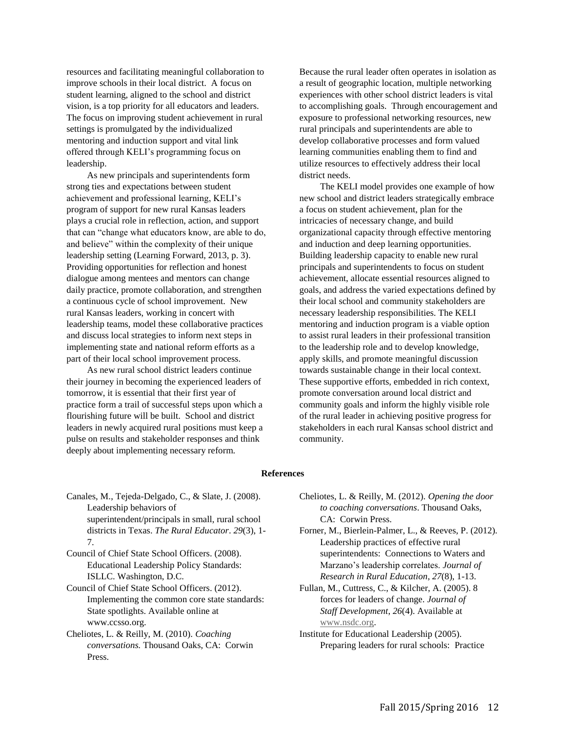resources and facilitating meaningful collaboration to improve schools in their local district. A focus on student learning, aligned to the school and district vision, is a top priority for all educators and leaders. The focus on improving student achievement in rural settings is promulgated by the individualized mentoring and induction support and vital link offered through KELI's programming focus on leadership.

As new principals and superintendents form strong ties and expectations between student achievement and professional learning, KELI's program of support for new rural Kansas leaders plays a crucial role in reflection, action, and support that can "change what educators know, are able to do, and believe" within the complexity of their unique leadership setting (Learning Forward, 2013, p. 3). Providing opportunities for reflection and honest dialogue among mentees and mentors can change daily practice, promote collaboration, and strengthen a continuous cycle of school improvement. New rural Kansas leaders, working in concert with leadership teams, model these collaborative practices and discuss local strategies to inform next steps in implementing state and national reform efforts as a part of their local school improvement process.

As new rural school district leaders continue their journey in becoming the experienced leaders of tomorrow, it is essential that their first year of practice form a trail of successful steps upon which a flourishing future will be built. School and district leaders in newly acquired rural positions must keep a pulse on results and stakeholder responses and think deeply about implementing necessary reform.

Because the rural leader often operates in isolation as a result of geographic location, multiple networking experiences with other school district leaders is vital to accomplishing goals. Through encouragement and exposure to professional networking resources, new rural principals and superintendents are able to develop collaborative processes and form valued learning communities enabling them to find and utilize resources to effectively address their local district needs.

The KELI model provides one example of how new school and district leaders strategically embrace a focus on student achievement, plan for the intricacies of necessary change, and build organizational capacity through effective mentoring and induction and deep learning opportunities. Building leadership capacity to enable new rural principals and superintendents to focus on student achievement, allocate essential resources aligned to goals, and address the varied expectations defined by their local school and community stakeholders are necessary leadership responsibilities. The KELI mentoring and induction program is a viable option to assist rural leaders in their professional transition to the leadership role and to develop knowledge, apply skills, and promote meaningful discussion towards sustainable change in their local context. These supportive efforts, embedded in rich context, promote conversation around local district and community goals and inform the highly visible role of the rural leader in achieving positive progress for stakeholders in each rural Kansas school district and community.

### **References**

- Canales, M., Tejeda-Delgado, C., & Slate, J. (2008). Leadership behaviors of superintendent/principals in small, rural school districts in Texas. *The Rural Educator*. *29*(3), 1- 7.
- Council of Chief State School Officers. (2008). Educational Leadership Policy Standards: ISLLC. Washington, D.C.
- Council of Chief State School Officers. (2012). Implementing the common core state standards: State spotlights. Available online at www.ccsso.org.
- Cheliotes, L. & Reilly, M. (2010). *Coaching conversations.* Thousand Oaks, CA: Corwin Press.
- Cheliotes, L. & Reilly, M. (2012). *Opening the door to coaching conversations*. Thousand Oaks, CA: Corwin Press.
- Forner, M., Bierlein-Palmer, L., & Reeves, P. (2012). Leadership practices of effective rural superintendents: Connections to Waters and Marzano's leadership correlates. *Journal of Research in Rural Education*, *27*(8), 1-13.
- Fullan, M., Cuttress, C., & Kilcher, A. (2005). 8 forces for leaders of change. *Journal of Staff Development*, *26*(4). Available at [www.nsdc.org.](http://www.nsdc.org/)
- Institute for Educational Leadership (2005). Preparing leaders for rural schools: Practice